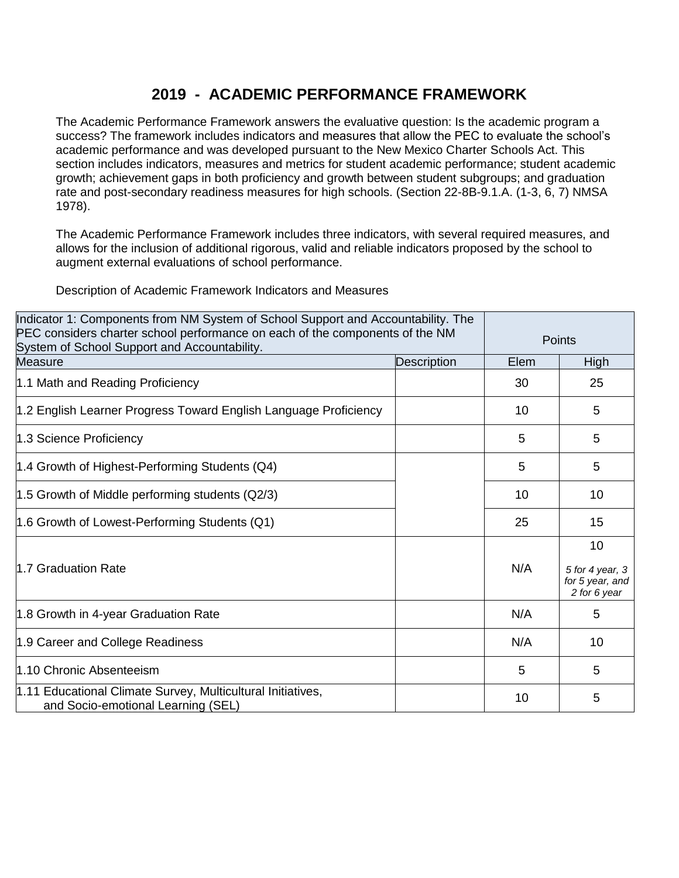## **2019 - ACADEMIC PERFORMANCE FRAMEWORK**

The Academic Performance Framework answers the evaluative question: Is the academic program a success? The framework includes indicators and measures that allow the PEC to evaluate the school's academic performance and was developed pursuant to the New Mexico Charter Schools Act. This section includes indicators, measures and metrics for student academic performance; student academic growth; achievement gaps in both proficiency and growth between student subgroups; and graduation rate and post-secondary readiness measures for high schools. (Section 22-8B-9.1.A. (1-3, 6, 7) NMSA 1978).

The Academic Performance Framework includes three indicators, with several required measures, and allows for the inclusion of additional rigorous, valid and reliable indicators proposed by the school to augment external evaluations of school performance.

Description of Academic Framework Indicators and Measures

| Indicator 1: Components from NM System of School Support and Accountability. The<br>PEC considers charter school performance on each of the components of the NM<br>System of School Support and Accountability. |             | Points |                                                          |
|------------------------------------------------------------------------------------------------------------------------------------------------------------------------------------------------------------------|-------------|--------|----------------------------------------------------------|
| <b>Measure</b>                                                                                                                                                                                                   | Description | Elem   | High                                                     |
| 1.1 Math and Reading Proficiency                                                                                                                                                                                 |             | 30     | 25                                                       |
| 1.2 English Learner Progress Toward English Language Proficiency                                                                                                                                                 |             | 10     | 5                                                        |
| 1.3 Science Proficiency                                                                                                                                                                                          |             | 5      | 5                                                        |
| 1.4 Growth of Highest-Performing Students (Q4)                                                                                                                                                                   |             | 5      | 5                                                        |
| 1.5 Growth of Middle performing students (Q2/3)                                                                                                                                                                  |             | 10     | 10                                                       |
| 1.6 Growth of Lowest-Performing Students (Q1)                                                                                                                                                                    |             | 25     | 15                                                       |
| 1.7 Graduation Rate                                                                                                                                                                                              |             | N/A    | 10<br>5 for 4 year, 3<br>for 5 year, and<br>2 for 6 year |
| 1.8 Growth in 4-year Graduation Rate                                                                                                                                                                             |             | N/A    | 5                                                        |
| 1.9 Career and College Readiness                                                                                                                                                                                 |             | N/A    | 10                                                       |
| 1.10 Chronic Absenteeism                                                                                                                                                                                         |             | 5      | 5                                                        |
| 1.11 Educational Climate Survey, Multicultural Initiatives,<br>and Socio-emotional Learning (SEL)                                                                                                                |             | 10     | 5                                                        |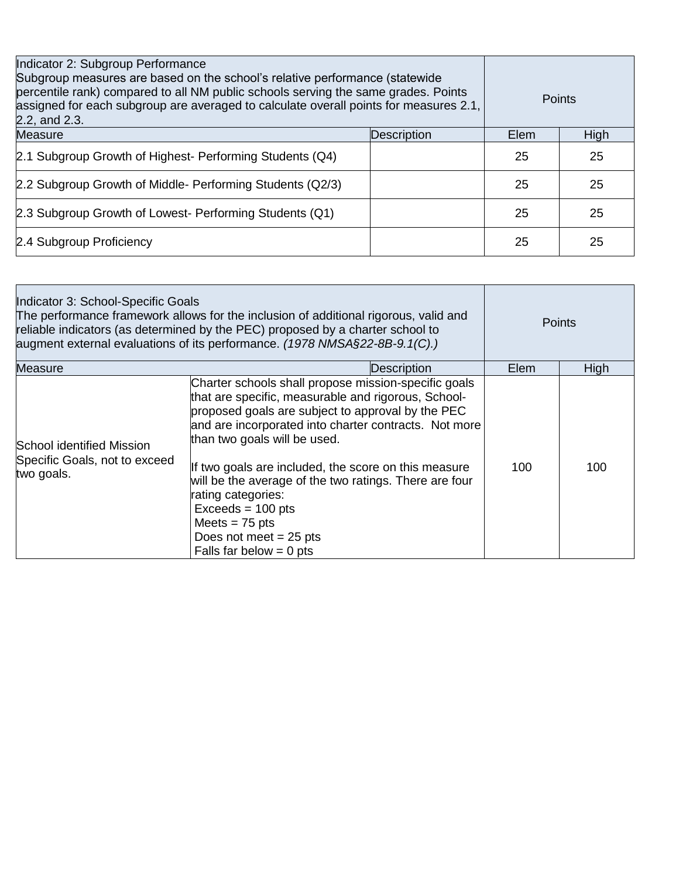| Indicator 2: Subgroup Performance<br>Subgroup measures are based on the school's relative performance (statewide)<br>percentile rank) compared to all NM public schools serving the same grades. Points<br>assigned for each subgroup are averaged to calculate overall points for measures 2.1,<br>2.2, and 2.3. |             | <b>Points</b> |      |
|-------------------------------------------------------------------------------------------------------------------------------------------------------------------------------------------------------------------------------------------------------------------------------------------------------------------|-------------|---------------|------|
| Measure                                                                                                                                                                                                                                                                                                           | Description | Elem          | High |
| 2.1 Subgroup Growth of Highest- Performing Students (Q4)                                                                                                                                                                                                                                                          |             | 25            | 25   |
| 2.2 Subgroup Growth of Middle- Performing Students (Q2/3)                                                                                                                                                                                                                                                         |             | 25            | 25   |
| 2.3 Subgroup Growth of Lowest- Performing Students (Q1)                                                                                                                                                                                                                                                           |             | 25            | 25   |
| 2.4 Subgroup Proficiency                                                                                                                                                                                                                                                                                          |             | 25            | 25   |

| Indicator 3: School-Specific Goals<br>The performance framework allows for the inclusion of additional rigorous, valid and<br>reliable indicators (as determined by the PEC) proposed by a charter school to<br>augment external evaluations of its performance. (1978 NMSA§22-8B-9.1(C).) |                                                                                                                                                                                                                                                                                                                                                                                                                                                                                                       | <b>Points</b> |             |
|--------------------------------------------------------------------------------------------------------------------------------------------------------------------------------------------------------------------------------------------------------------------------------------------|-------------------------------------------------------------------------------------------------------------------------------------------------------------------------------------------------------------------------------------------------------------------------------------------------------------------------------------------------------------------------------------------------------------------------------------------------------------------------------------------------------|---------------|-------------|
| <b>Measure</b>                                                                                                                                                                                                                                                                             | Description                                                                                                                                                                                                                                                                                                                                                                                                                                                                                           | Elem          | <b>High</b> |
| School identified Mission<br>Specific Goals, not to exceed<br>two goals.                                                                                                                                                                                                                   | Charter schools shall propose mission-specific goals<br>that are specific, measurable and rigorous, School-<br>proposed goals are subject to approval by the PEC<br>and are incorporated into charter contracts. Not more<br>than two goals will be used.<br>If two goals are included, the score on this measure<br>will be the average of the two ratings. There are four<br>rating categories:<br>$Exceeds = 100 pts$<br>Meets $= 75$ pts<br>Does not meet $= 25$ pts<br>Falls far below $= 0$ pts | 100           | 100         |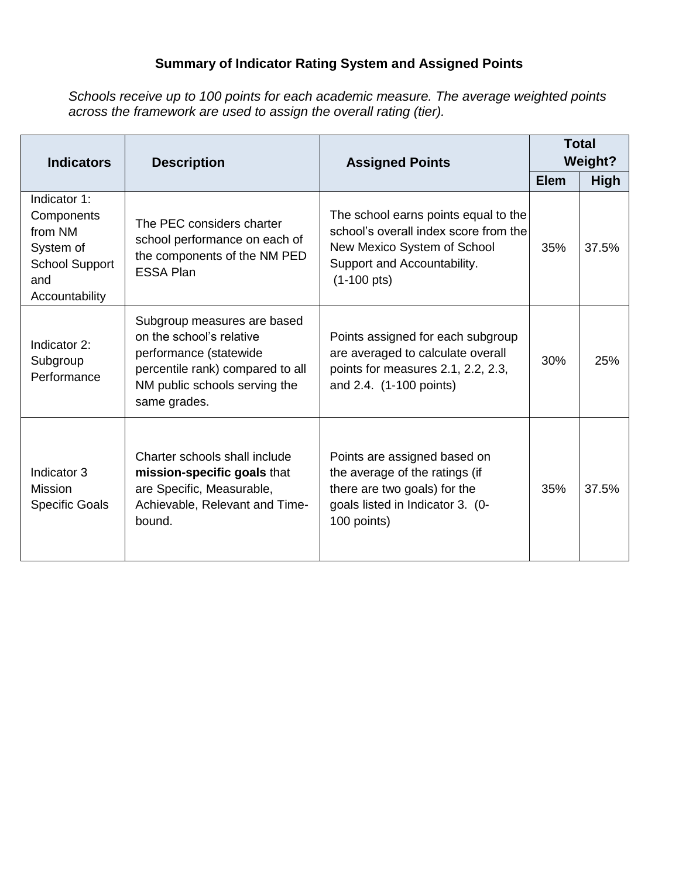## **Summary of Indicator Rating System and Assigned Points**

*Schools receive up to 100 points for each academic measure. The average weighted points across the framework are used to assign the overall rating (tier).*

| <b>Indicators</b>                                                                                    | <b>Description</b><br><b>Assigned Points</b>                                                                                                                           |                                                                                                                                                                      | <b>Total</b><br><b>Weight?</b> |             |
|------------------------------------------------------------------------------------------------------|------------------------------------------------------------------------------------------------------------------------------------------------------------------------|----------------------------------------------------------------------------------------------------------------------------------------------------------------------|--------------------------------|-------------|
|                                                                                                      |                                                                                                                                                                        |                                                                                                                                                                      | <b>Elem</b>                    | <b>High</b> |
| Indicator 1:<br>Components<br>from NM<br>System of<br><b>School Support</b><br>and<br>Accountability | The PEC considers charter<br>school performance on each of<br>the components of the NM PED<br><b>ESSA Plan</b>                                                         | The school earns points equal to the<br>school's overall index score from the<br>New Mexico System of School<br>Support and Accountability.<br>$(1-100 \text{ pts})$ | 35%                            | 37.5%       |
| Indicator 2:<br>Subgroup<br>Performance                                                              | Subgroup measures are based<br>on the school's relative<br>performance (statewide<br>percentile rank) compared to all<br>NM public schools serving the<br>same grades. | Points assigned for each subgroup<br>are averaged to calculate overall<br>points for measures 2.1, 2.2, 2.3,<br>and 2.4. (1-100 points)                              | 30%                            | 25%         |
| Indicator 3<br><b>Mission</b><br><b>Specific Goals</b>                                               | Charter schools shall include<br>mission-specific goals that<br>are Specific, Measurable,<br>Achievable, Relevant and Time-<br>bound.                                  | Points are assigned based on<br>the average of the ratings (if<br>there are two goals) for the<br>goals listed in Indicator 3. (0-<br>100 points)                    | 35%                            | 37.5%       |